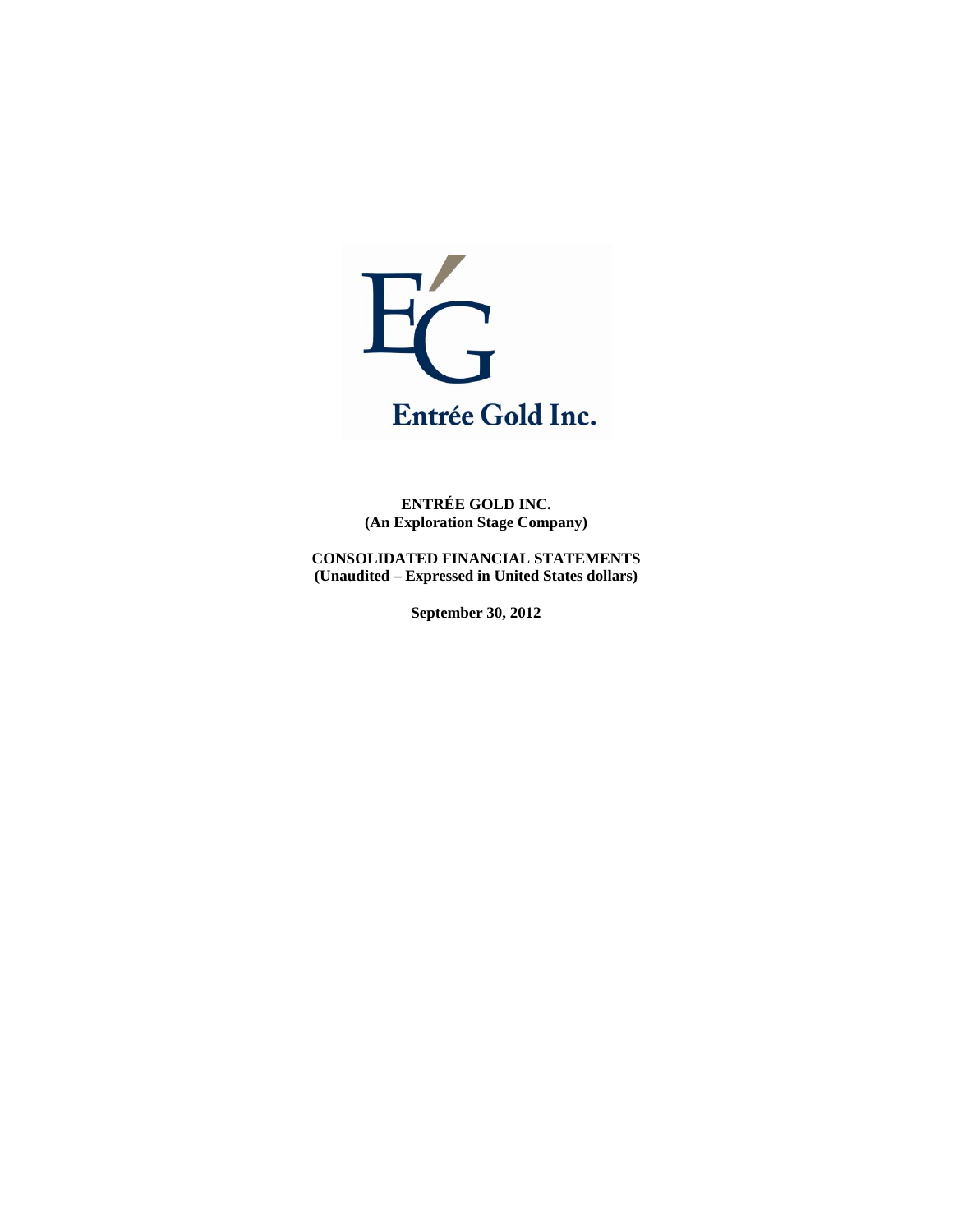

**ENTRÉE GOLD INC. (An Exploration Stage Company)** 

**CONSOLIDATED FINANCIAL STATEMENTS (Unaudited – Expressed in United States dollars)** 

**September 30, 2012**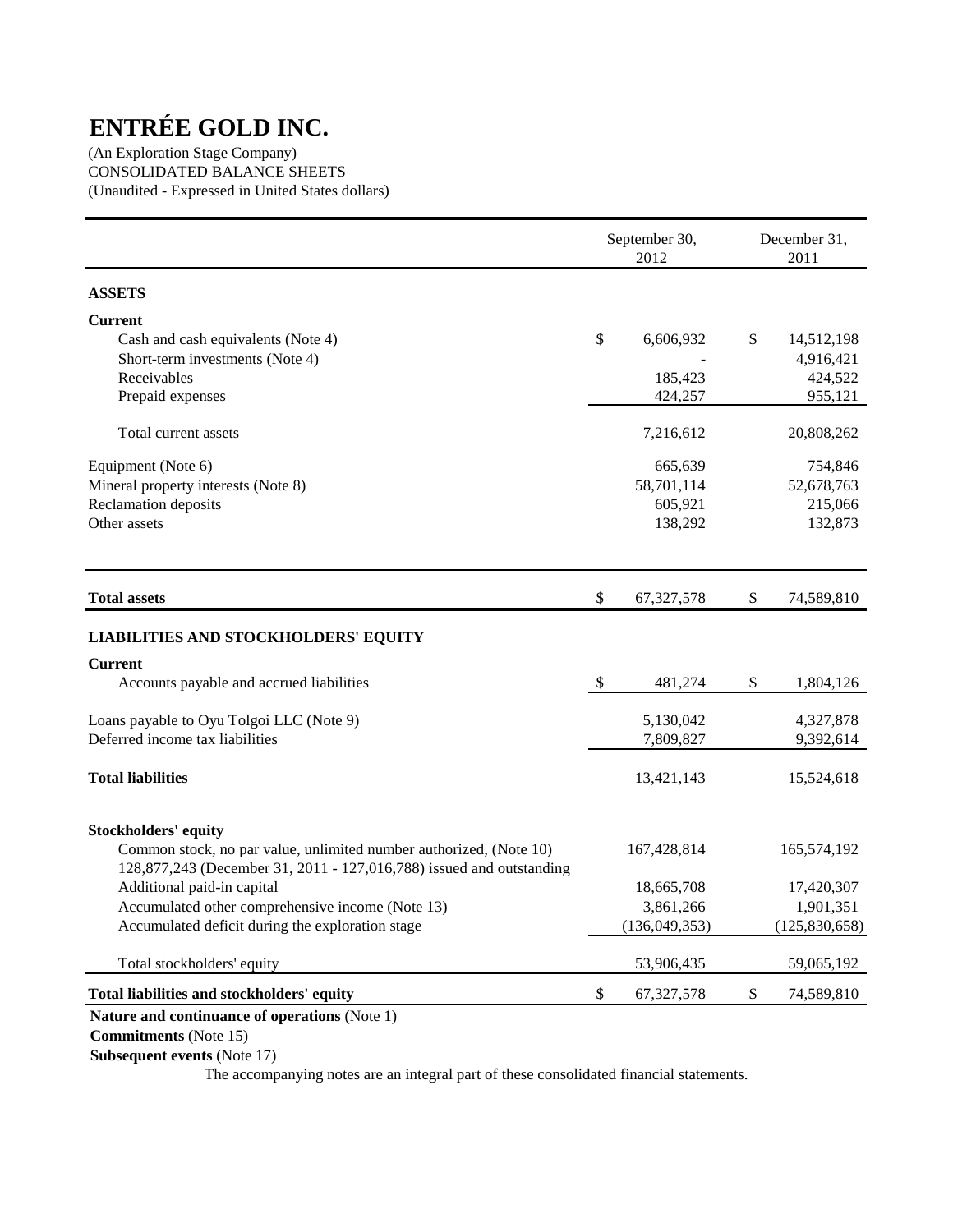(An Exploration Stage Company) CONSOLIDATED BALANCE SHEETS (Unaudited - Expressed in United States dollars)

|                                                                                                                                            |               | September 30,<br>2012 | December 31.<br>2011 |                 |  |
|--------------------------------------------------------------------------------------------------------------------------------------------|---------------|-----------------------|----------------------|-----------------|--|
| <b>ASSETS</b>                                                                                                                              |               |                       |                      |                 |  |
| <b>Current</b>                                                                                                                             |               |                       |                      |                 |  |
| Cash and cash equivalents (Note 4)                                                                                                         | \$            | 6,606,932             | \$                   | 14,512,198      |  |
| Short-term investments (Note 4)                                                                                                            |               |                       |                      | 4,916,421       |  |
| Receivables                                                                                                                                |               | 185,423               |                      | 424,522         |  |
| Prepaid expenses                                                                                                                           |               | 424,257               |                      | 955,121         |  |
| Total current assets                                                                                                                       |               | 7,216,612             |                      | 20,808,262      |  |
| Equipment (Note 6)                                                                                                                         |               | 665,639               |                      | 754,846         |  |
| Mineral property interests (Note 8)                                                                                                        |               | 58,701,114            |                      | 52,678,763      |  |
| Reclamation deposits                                                                                                                       |               | 605,921               |                      | 215,066         |  |
| Other assets                                                                                                                               |               | 138,292               |                      | 132,873         |  |
| <b>Total assets</b>                                                                                                                        | \$            | 67,327,578            | \$                   | 74,589,810      |  |
| <b>LIABILITIES AND STOCKHOLDERS' EQUITY</b>                                                                                                |               |                       |                      |                 |  |
| <b>Current</b>                                                                                                                             |               |                       |                      |                 |  |
| Accounts payable and accrued liabilities                                                                                                   | $\mathcal{S}$ | 481,274               | \$                   | 1,804,126       |  |
| Loans payable to Oyu Tolgoi LLC (Note 9)                                                                                                   |               | 5,130,042             |                      | 4,327,878       |  |
| Deferred income tax liabilities                                                                                                            |               | 7,809,827             |                      | 9,392,614       |  |
| <b>Total liabilities</b>                                                                                                                   |               | 13,421,143            |                      | 15,524,618      |  |
| <b>Stockholders' equity</b>                                                                                                                |               |                       |                      |                 |  |
| Common stock, no par value, unlimited number authorized, (Note 10)<br>128,877,243 (December 31, 2011 - 127,016,788) issued and outstanding |               | 167,428,814           |                      | 165,574,192     |  |
| Additional paid-in capital                                                                                                                 |               | 18,665,708            |                      | 17,420,307      |  |
| Accumulated other comprehensive income (Note 13)                                                                                           |               | 3,861,266             |                      | 1,901,351       |  |
| Accumulated deficit during the exploration stage                                                                                           |               | (136,049,353)         |                      | (125, 830, 658) |  |
| Total stockholders' equity                                                                                                                 |               | 53,906,435            |                      | 59,065,192      |  |
| Total liabilities and stockholders' equity                                                                                                 | \$            | 67,327,578            | \$                   | 74,589,810      |  |
| Nature and continuance of operations (Note 1)                                                                                              |               |                       |                      |                 |  |

 **Commitments** (Note 15)

 **Subsequent events** (Note 17)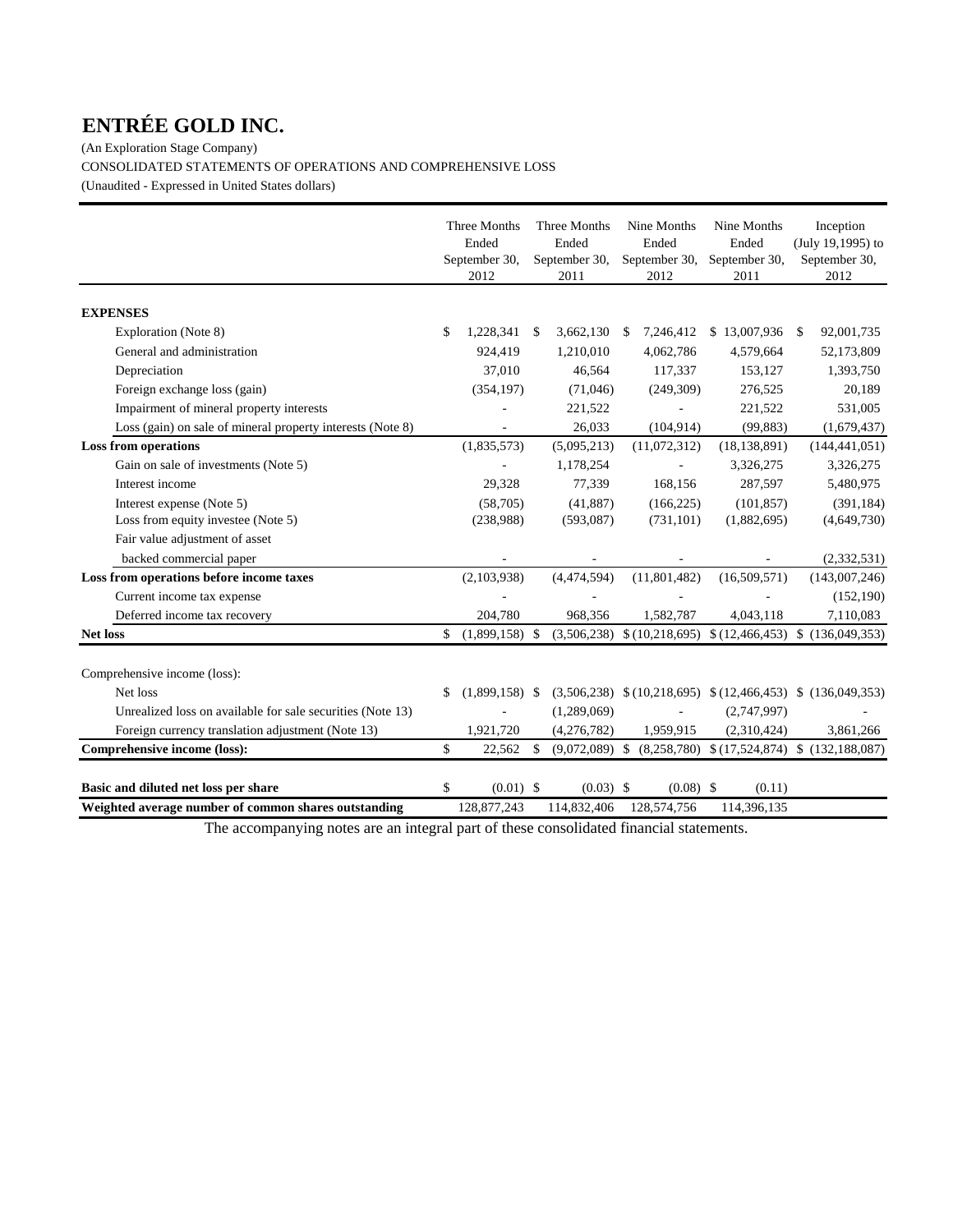(An Exploration Stage Company) CONSOLIDATED STATEMENTS OF OPERATIONS AND COMPREHENSIVE LOSS (Unaudited - Expressed in United States dollars)

|                                                            | Three Months<br>Ended<br>September 30,<br>2012 |    | Three Months<br>Ended<br>September 30,<br>2011 | Nine Months<br>Ended<br>September 30,<br>2012 | Nine Months<br>Ended<br>September 30,<br>2011                        |     | Inception<br>(July 19,1995) to<br>September 30,<br>2012 |
|------------------------------------------------------------|------------------------------------------------|----|------------------------------------------------|-----------------------------------------------|----------------------------------------------------------------------|-----|---------------------------------------------------------|
| <b>EXPENSES</b>                                            |                                                |    |                                                |                                               |                                                                      |     |                                                         |
| Exploration (Note 8)                                       | \$<br>1,228,341                                | -S | 3,662,130                                      | 7,246,412<br>-S                               | \$13,007,936                                                         | - S | 92,001,735                                              |
| General and administration                                 | 924,419                                        |    | 1,210,010                                      | 4,062,786                                     | 4,579,664                                                            |     | 52,173,809                                              |
| Depreciation                                               | 37,010                                         |    | 46,564                                         | 117,337                                       | 153,127                                                              |     | 1,393,750                                               |
| Foreign exchange loss (gain)                               | (354, 197)                                     |    | (71,046)                                       | (249,309)                                     | 276,525                                                              |     | 20,189                                                  |
| Impairment of mineral property interests                   |                                                |    | 221,522                                        |                                               | 221,522                                                              |     | 531,005                                                 |
| Loss (gain) on sale of mineral property interests (Note 8) |                                                |    | 26,033                                         | (104, 914)                                    | (99, 883)                                                            |     | (1,679,437)                                             |
| <b>Loss from operations</b>                                | (1,835,573)                                    |    | (5,095,213)                                    | (11,072,312)                                  | (18, 138, 891)                                                       |     | (144, 441, 051)                                         |
| Gain on sale of investments (Note 5)                       |                                                |    | 1,178,254                                      |                                               | 3,326,275                                                            |     | 3,326,275                                               |
| Interest income                                            | 29,328                                         |    | 77,339                                         | 168,156                                       | 287,597                                                              |     | 5,480,975                                               |
| Interest expense (Note 5)                                  | (58,705)                                       |    | (41, 887)                                      | (166, 225)                                    | (101, 857)                                                           |     | (391, 184)                                              |
| Loss from equity investee (Note 5)                         | (238,988)                                      |    | (593,087)                                      | (731, 101)                                    | (1,882,695)                                                          |     | (4,649,730)                                             |
| Fair value adjustment of asset                             |                                                |    |                                                |                                               |                                                                      |     |                                                         |
| backed commercial paper                                    |                                                |    |                                                |                                               |                                                                      |     | (2, 332, 531)                                           |
| Loss from operations before income taxes                   | (2,103,938)                                    |    | (4,474,594)                                    | (11,801,482)                                  | (16,509,571)                                                         |     | (143,007,246)                                           |
| Current income tax expense                                 |                                                |    |                                                |                                               |                                                                      |     | (152, 190)                                              |
| Deferred income tax recovery                               | 204,780                                        |    | 968,356                                        | 1,582,787                                     | 4,043,118                                                            |     | 7,110,083                                               |
| <b>Net loss</b>                                            | \$<br>$(1,899,158)$ \$                         |    | (3,506,238)                                    |                                               | $(10,218,695)$ $(12,466,453)$ $(136,049,353)$                        |     |                                                         |
| Comprehensive income (loss):                               |                                                |    |                                                |                                               |                                                                      |     |                                                         |
| Net loss                                                   | \$<br>$(1,899,158)$ \$                         |    |                                                |                                               | $(3,506,238)$ \$ $(10,218,695)$ \$ $(12,466,453)$ \$ $(136,049,353)$ |     |                                                         |
| Unrealized loss on available for sale securities (Note 13) |                                                |    | (1,289,069)                                    |                                               | (2,747,997)                                                          |     |                                                         |
| Foreign currency translation adjustment (Note 13)          | 1,921,720                                      |    | (4,276,782)                                    | 1,959,915                                     | (2,310,424)                                                          |     | 3,861,266                                               |
| Comprehensive income (loss):                               | \$<br>22,562                                   | \$ | $(9,072,089)$ \$                               |                                               | $(8,258,780)$ \$ $(17,524,874)$ \$ $(132,188,087)$                   |     |                                                         |
| Basic and diluted net loss per share                       | \$<br>$(0.01)$ \$                              |    | $(0.03)$ \$                                    | $(0.08)$ \$                                   | (0.11)                                                               |     |                                                         |
| Weighted average number of common shares outstanding       | 128,877,243                                    |    | 114,832,406                                    | 128,574,756                                   | 114,396,135                                                          |     |                                                         |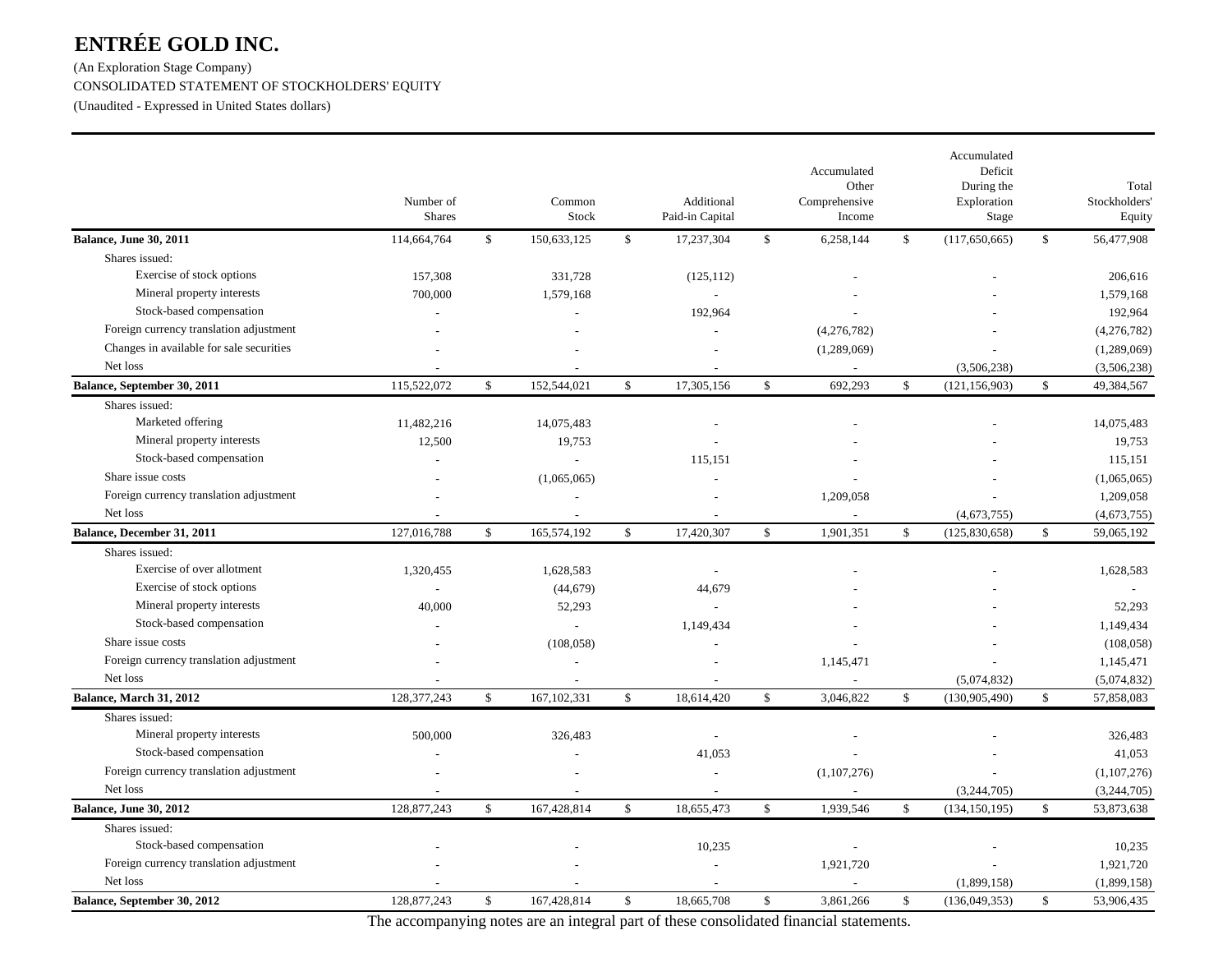(An Exploration Stage Company) CONSOLIDATED STATEMENT OF STOCKHOLDERS' EQUITY (Unaudited - Expressed in United States dollars)

|                                          | Number of<br><b>Shares</b> |              | Common<br>Stock          |              | Additional<br>Paid-in Capital |              | Accumulated<br>Other<br>Comprehensive<br>Income |               | Accumulated<br>Deficit<br>During the<br>Exploration<br>Stage |              | Total<br>Stockholders<br>Equity |
|------------------------------------------|----------------------------|--------------|--------------------------|--------------|-------------------------------|--------------|-------------------------------------------------|---------------|--------------------------------------------------------------|--------------|---------------------------------|
| <b>Balance, June 30, 2011</b>            | 114,664,764                | $\mathbb{S}$ | 150,633,125              | $\mathbb{S}$ | 17,237,304                    | \$           | 6,258,144                                       | $\mathbb{S}$  | (117,650,665)                                                | $\mathbb{S}$ | 56,477,908                      |
| Shares issued:                           |                            |              |                          |              |                               |              |                                                 |               |                                                              |              |                                 |
| Exercise of stock options                | 157,308                    |              | 331,728                  |              | (125, 112)                    |              |                                                 |               |                                                              |              | 206,616                         |
| Mineral property interests               | 700,000                    |              | 1,579,168                |              |                               |              |                                                 |               |                                                              |              | 1,579,168                       |
| Stock-based compensation                 |                            |              |                          |              | 192,964                       |              |                                                 |               |                                                              |              | 192,964                         |
| Foreign currency translation adjustment  |                            |              |                          |              |                               |              | (4,276,782)                                     |               |                                                              |              | (4,276,782)                     |
| Changes in available for sale securities |                            |              |                          |              |                               |              | (1,289,069)                                     |               |                                                              |              | (1,289,069)                     |
| Net loss                                 |                            |              |                          |              |                               |              |                                                 |               | (3,506,238)                                                  |              | (3,506,238)                     |
| Balance, September 30, 2011              | 115,522,072                | $\mathbb{S}$ | 152,544,021              | $\mathbb{S}$ | 17,305,156                    | \$           | 692,293                                         | $\mathcal{S}$ | (121, 156, 903)                                              | $\mathbb{S}$ | 49,384,567                      |
| Shares issued:                           |                            |              |                          |              |                               |              |                                                 |               |                                                              |              |                                 |
| Marketed offering                        | 11,482,216                 |              | 14,075,483               |              |                               |              |                                                 |               |                                                              |              | 14,075,483                      |
| Mineral property interests               | 12,500                     |              | 19,753                   |              |                               |              |                                                 |               |                                                              |              | 19,753                          |
| Stock-based compensation                 |                            |              |                          |              | 115,151                       |              |                                                 |               |                                                              |              | 115,151                         |
| Share issue costs                        |                            |              | (1,065,065)              |              |                               |              |                                                 |               |                                                              |              | (1,065,065)                     |
| Foreign currency translation adjustment  |                            |              |                          |              |                               |              | 1,209,058                                       |               |                                                              |              | 1,209,058                       |
| Net loss                                 | $\overline{\phantom{a}}$   |              | $\overline{\phantom{a}}$ |              | $\overline{\phantom{a}}$      |              | $\sim$                                          |               | (4,673,755)                                                  |              | (4,673,755)                     |
| Balance, December 31, 2011               | 127,016,788                | \$           | 165,574,192              | $\mathbb{S}$ | 17,420,307                    | \$           | 1,901,351                                       | \$            | (125, 830, 658)                                              | $\mathbb{S}$ | 59,065,192                      |
| Shares issued:                           |                            |              |                          |              |                               |              |                                                 |               |                                                              |              |                                 |
| Exercise of over allotment               | 1,320,455                  |              | 1,628,583                |              |                               |              |                                                 |               |                                                              |              | 1,628,583                       |
| Exercise of stock options                |                            |              | (44, 679)                |              | 44,679                        |              |                                                 |               |                                                              |              |                                 |
| Mineral property interests               | 40,000                     |              | 52,293                   |              |                               |              |                                                 |               |                                                              |              | 52,293                          |
| Stock-based compensation                 |                            |              |                          |              | 1,149,434                     |              |                                                 |               |                                                              |              | 1,149,434                       |
| Share issue costs                        |                            |              | (108, 058)               |              |                               |              |                                                 |               |                                                              |              | (108, 058)                      |
| Foreign currency translation adjustment  |                            |              |                          |              |                               |              | 1,145,471                                       |               |                                                              |              | 1,145,471                       |
| Net loss                                 |                            |              |                          |              |                               |              |                                                 |               | (5,074,832)                                                  |              | (5,074,832)                     |
| Balance, March 31, 2012                  | 128, 377, 243              | $\mathbb{S}$ | 167, 102, 331            | $\mathbb{S}$ | 18,614,420                    | \$           | 3,046,822                                       | $\mathcal{S}$ | (130, 905, 490)                                              | $\mathbb{S}$ | 57,858,083                      |
| Shares issued:                           |                            |              |                          |              |                               |              |                                                 |               |                                                              |              |                                 |
| Mineral property interests               | 500,000                    |              | 326,483                  |              |                               |              |                                                 |               |                                                              |              | 326,483                         |
| Stock-based compensation                 |                            |              |                          |              | 41,053                        |              |                                                 |               |                                                              |              | 41,053                          |
| Foreign currency translation adjustment  |                            |              |                          |              |                               |              | (1,107,276)                                     |               |                                                              |              | (1,107,276)                     |
| Net loss                                 |                            |              |                          |              | $\overline{\phantom{a}}$      |              | $\sim$                                          |               | (3,244,705)                                                  |              | (3,244,705)                     |
| <b>Balance, June 30, 2012</b>            | 128,877,243                | $\mathbb{S}$ | 167,428,814              | $\mathbb{S}$ | 18,655,473                    | $\mathbb{S}$ | 1,939,546                                       | <sup>\$</sup> | (134, 150, 195)                                              | $\mathbb{S}$ | 53,873,638                      |
| Shares issued:                           |                            |              |                          |              |                               |              |                                                 |               |                                                              |              |                                 |
| Stock-based compensation                 |                            |              |                          |              | 10,235                        |              |                                                 |               |                                                              |              | 10,235                          |
| Foreign currency translation adjustment  |                            |              |                          |              |                               |              | 1,921,720                                       |               |                                                              |              | 1,921,720                       |
| Net loss                                 |                            |              |                          |              |                               |              |                                                 |               | (1,899,158)                                                  |              | (1,899,158)                     |
| Balance, September 30, 2012              | 128,877,243                | \$           | 167,428,814              | $\mathbb{S}$ | 18,665,708                    | \$           | 3,861,266                                       | <sup>\$</sup> | (136,049,353)                                                | $\mathbb{S}$ | 53,906,435                      |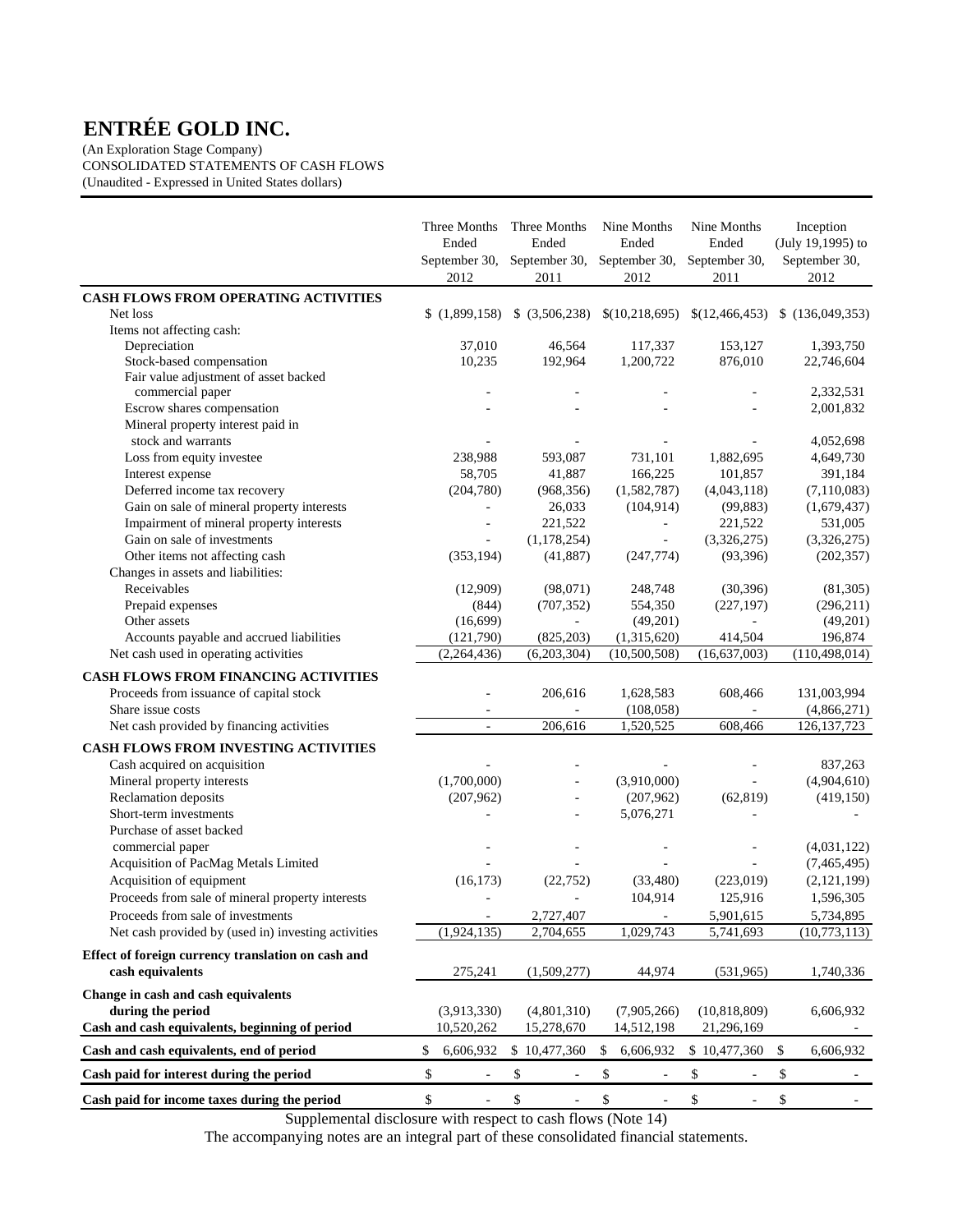(An Exploration Stage Company) CONSOLIDATED STATEMENTS OF CASH FLOWS (Unaudited - Expressed in United States dollars)

|                                                           | Three Months<br>Ended<br>2012  | Three Months<br>Ended<br>September 30, September 30,<br>2011 |              | Nine Months<br>Ended<br>September 30,<br>2012 | Nine Months<br>Ended<br>September 30,<br>2011 | Inception<br>(July 19,1995) to<br>September 30,<br>2012 |
|-----------------------------------------------------------|--------------------------------|--------------------------------------------------------------|--------------|-----------------------------------------------|-----------------------------------------------|---------------------------------------------------------|
| CASH FLOWS FROM OPERATING ACTIVITIES                      |                                |                                                              |              |                                               |                                               |                                                         |
| Net loss                                                  | \$(1,899,158)                  | $$$ (3,506,238)                                              |              | \$(10,218,695)                                | \$(12,466,453)                                | \$(136,049,353)                                         |
| Items not affecting cash:                                 |                                |                                                              |              |                                               |                                               |                                                         |
| Depreciation                                              | 37,010                         | 46,564                                                       |              | 117,337                                       | 153,127                                       | 1,393,750                                               |
| Stock-based compensation                                  | 10,235                         | 192,964                                                      |              | 1,200,722                                     | 876,010                                       | 22,746,604                                              |
| Fair value adjustment of asset backed<br>commercial paper |                                |                                                              |              |                                               |                                               | 2,332,531                                               |
| Escrow shares compensation                                |                                |                                                              |              |                                               |                                               | 2,001,832                                               |
| Mineral property interest paid in                         |                                |                                                              |              |                                               |                                               |                                                         |
| stock and warrants                                        |                                |                                                              |              |                                               |                                               | 4,052,698                                               |
| Loss from equity investee                                 | 238,988                        | 593,087                                                      |              | 731,101                                       | 1,882,695                                     | 4,649,730                                               |
| Interest expense                                          | 58,705                         | 41,887                                                       |              | 166,225                                       | 101,857                                       | 391,184                                                 |
| Deferred income tax recovery                              | (204,780)                      | (968, 356)                                                   |              | (1,582,787)                                   | (4,043,118)                                   | (7,110,083)                                             |
| Gain on sale of mineral property interests                |                                | 26,033                                                       |              | (104, 914)                                    | (99, 883)                                     | (1,679,437)                                             |
| Impairment of mineral property interests                  |                                | 221,522                                                      |              | $\overline{\phantom{a}}$                      | 221,522                                       | 531,005                                                 |
| Gain on sale of investments                               | ÷,                             | (1,178,254)                                                  |              | $\overline{\phantom{a}}$                      | (3,326,275)                                   | (3,326,275)                                             |
| Other items not affecting cash                            | (353, 194)                     | (41,887)                                                     |              | (247, 774)                                    | (93, 396)                                     | (202, 357)                                              |
| Changes in assets and liabilities:                        |                                |                                                              |              |                                               |                                               |                                                         |
| Receivables                                               | (12,909)                       | (98,071)                                                     |              | 248,748                                       | (30, 396)                                     | (81,305)                                                |
| Prepaid expenses                                          | (844)                          | (707, 352)                                                   |              | 554,350                                       | (227, 197)                                    | (296,211)                                               |
| Other assets                                              | (16,699)                       | $\blacksquare$                                               |              | (49,201)                                      | ÷,                                            | (49,201)                                                |
| Accounts payable and accrued liabilities                  | (121,790)                      | (825, 203)                                                   |              | (1,315,620)                                   | 414,504                                       | 196,874                                                 |
| Net cash used in operating activities                     | (2,264,436)                    | (6,203,304)                                                  |              | (10,500,508)                                  | (16, 637, 003)                                | (110, 498, 014)                                         |
| <b>CASH FLOWS FROM FINANCING ACTIVITIES</b>               |                                |                                                              |              |                                               |                                               |                                                         |
| Proceeds from issuance of capital stock                   |                                | 206,616                                                      |              | 1,628,583                                     | 608,466                                       | 131,003,994                                             |
| Share issue costs                                         |                                | $\sim$                                                       |              | (108, 058)                                    |                                               | (4,866,271)                                             |
| Net cash provided by financing activities                 |                                | 206,616                                                      |              | 1,520,525                                     | 608,466                                       | 126, 137, 723                                           |
| CASH FLOWS FROM INVESTING ACTIVITIES                      |                                |                                                              |              |                                               |                                               |                                                         |
| Cash acquired on acquisition                              |                                |                                                              |              |                                               |                                               | 837,263                                                 |
| Mineral property interests                                | (1,700,000)                    |                                                              |              | (3,910,000)                                   |                                               | (4,904,610)                                             |
| Reclamation deposits                                      | (207, 962)                     |                                                              |              | (207,962)                                     | (62, 819)                                     | (419, 150)                                              |
| Short-term investments                                    |                                |                                                              |              | 5,076,271                                     |                                               |                                                         |
| Purchase of asset backed                                  |                                |                                                              |              |                                               |                                               |                                                         |
| commercial paper                                          |                                |                                                              |              |                                               |                                               | (4,031,122)                                             |
| Acquisition of PacMag Metals Limited                      |                                |                                                              |              | ä,                                            |                                               | (7,465,495)                                             |
| Acquisition of equipment                                  | (16, 173)                      | (22, 752)                                                    |              | (33, 480)                                     | (223, 019)                                    | (2,121,199)                                             |
| Proceeds from sale of mineral property interests          |                                |                                                              |              | 104,914                                       | 125,916                                       | 1,596,305                                               |
| Proceeds from sale of investments                         |                                | 2,727,407                                                    |              |                                               | 5,901,615                                     | 5,734,895                                               |
| Net cash provided by (used in) investing activities       | (1,924,135)                    | 2,704,655                                                    |              | 1,029,743                                     | 5,741,693                                     | (10,773,113)                                            |
| Effect of foreign currency translation on cash and        |                                |                                                              |              |                                               |                                               |                                                         |
| cash equivalents                                          | 275,241                        | (1,509,277)                                                  |              | 44,974                                        | (531,965)                                     | 1,740,336                                               |
| Change in cash and cash equivalents                       |                                |                                                              |              |                                               |                                               |                                                         |
| during the period                                         | (3,913,330)                    | (4,801,310)                                                  |              | (7,905,266)                                   | (10, 818, 809)                                | 6,606,932                                               |
| Cash and cash equivalents, beginning of period            | 10,520,262                     | 15,278,670                                                   |              | 14,512,198                                    | 21,296,169                                    |                                                         |
| Cash and cash equivalents, end of period                  | \$<br>6,606,932                | \$10,477,360                                                 | \$           | 6,606,932                                     | \$10,477,360                                  | \$<br>6,606,932                                         |
| Cash paid for interest during the period                  | \$                             | \$                                                           | \$           |                                               | \$                                            | \$                                                      |
| Cash paid for income taxes during the period              | \$<br>$\overline{\phantom{0}}$ | \$<br>$\overline{\phantom{a}}$                               | $\mathbb{S}$ | $\overline{\phantom{a}}$                      | \$                                            | \$                                                      |

Supplemental disclosure with respect to cash flows (Note 14)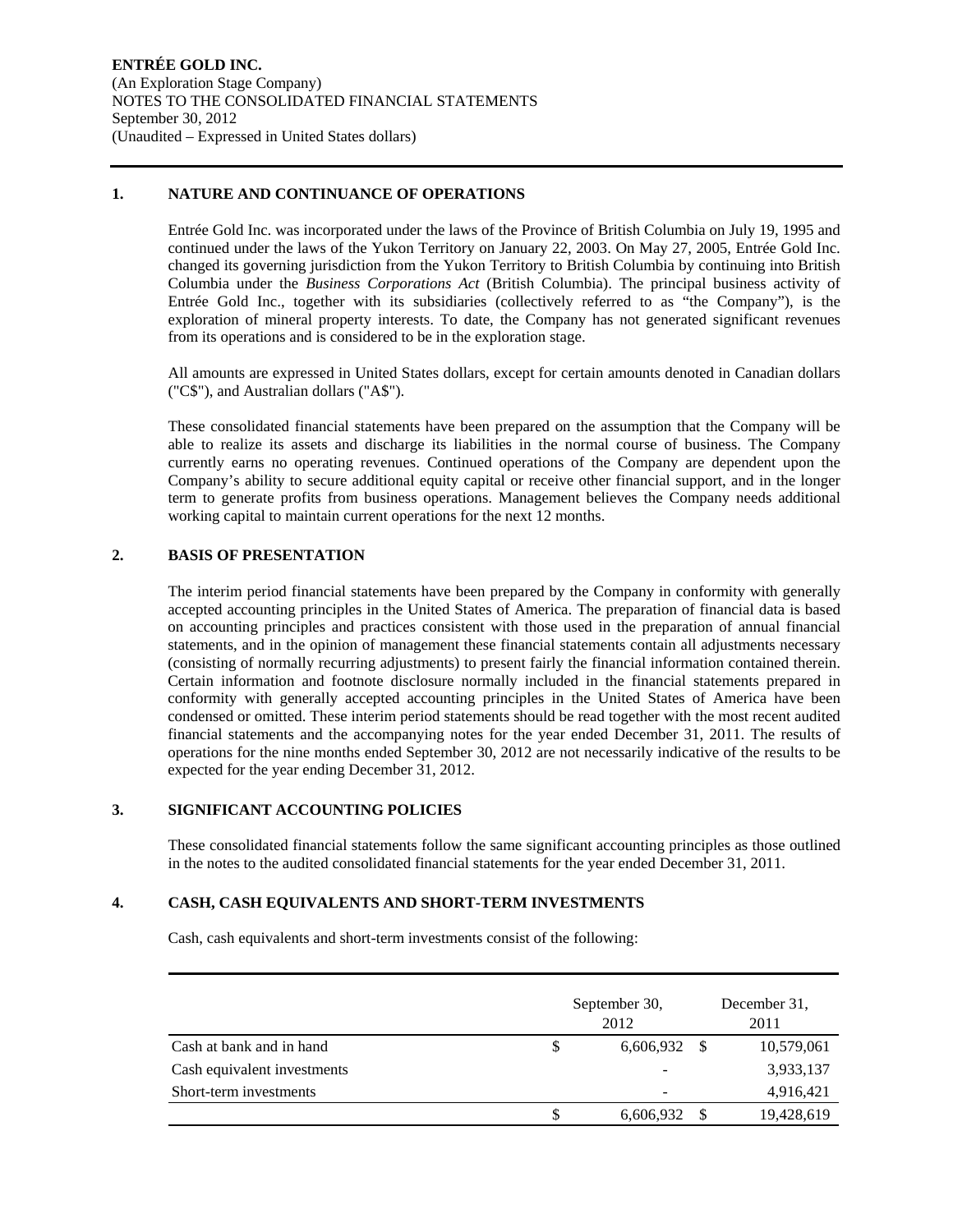#### **1. NATURE AND CONTINUANCE OF OPERATIONS**

Entrée Gold Inc. was incorporated under the laws of the Province of British Columbia on July 19, 1995 and continued under the laws of the Yukon Territory on January 22, 2003. On May 27, 2005, Entrée Gold Inc. changed its governing jurisdiction from the Yukon Territory to British Columbia by continuing into British Columbia under the *Business Corporations Act* (British Columbia). The principal business activity of Entrée Gold Inc., together with its subsidiaries (collectively referred to as "the Company"), is the exploration of mineral property interests. To date, the Company has not generated significant revenues from its operations and is considered to be in the exploration stage.

All amounts are expressed in United States dollars, except for certain amounts denoted in Canadian dollars ("C\$"), and Australian dollars ("A\$").

These consolidated financial statements have been prepared on the assumption that the Company will be able to realize its assets and discharge its liabilities in the normal course of business. The Company currently earns no operating revenues. Continued operations of the Company are dependent upon the Company's ability to secure additional equity capital or receive other financial support, and in the longer term to generate profits from business operations. Management believes the Company needs additional working capital to maintain current operations for the next 12 months.

#### **2. BASIS OF PRESENTATION**

The interim period financial statements have been prepared by the Company in conformity with generally accepted accounting principles in the United States of America. The preparation of financial data is based on accounting principles and practices consistent with those used in the preparation of annual financial statements, and in the opinion of management these financial statements contain all adjustments necessary (consisting of normally recurring adjustments) to present fairly the financial information contained therein. Certain information and footnote disclosure normally included in the financial statements prepared in conformity with generally accepted accounting principles in the United States of America have been condensed or omitted. These interim period statements should be read together with the most recent audited financial statements and the accompanying notes for the year ended December 31, 2011. The results of operations for the nine months ended September 30, 2012 are not necessarily indicative of the results to be expected for the year ending December 31, 2012.

#### **3. SIGNIFICANT ACCOUNTING POLICIES**

These consolidated financial statements follow the same significant accounting principles as those outlined in the notes to the audited consolidated financial statements for the year ended December 31, 2011.

#### **4. CASH, CASH EQUIVALENTS AND SHORT-TERM INVESTMENTS**

Cash, cash equivalents and short-term investments consist of the following:

|                             | September 30,<br>2012 | December 31.<br>2011 |            |  |  |
|-----------------------------|-----------------------|----------------------|------------|--|--|
| Cash at bank and in hand    | \$<br>6,606,932       | -S                   | 10,579,061 |  |  |
| Cash equivalent investments |                       |                      | 3,933,137  |  |  |
| Short-term investments      | ۰                     |                      | 4,916,421  |  |  |
|                             | 6,606,932             |                      | 19,428,619 |  |  |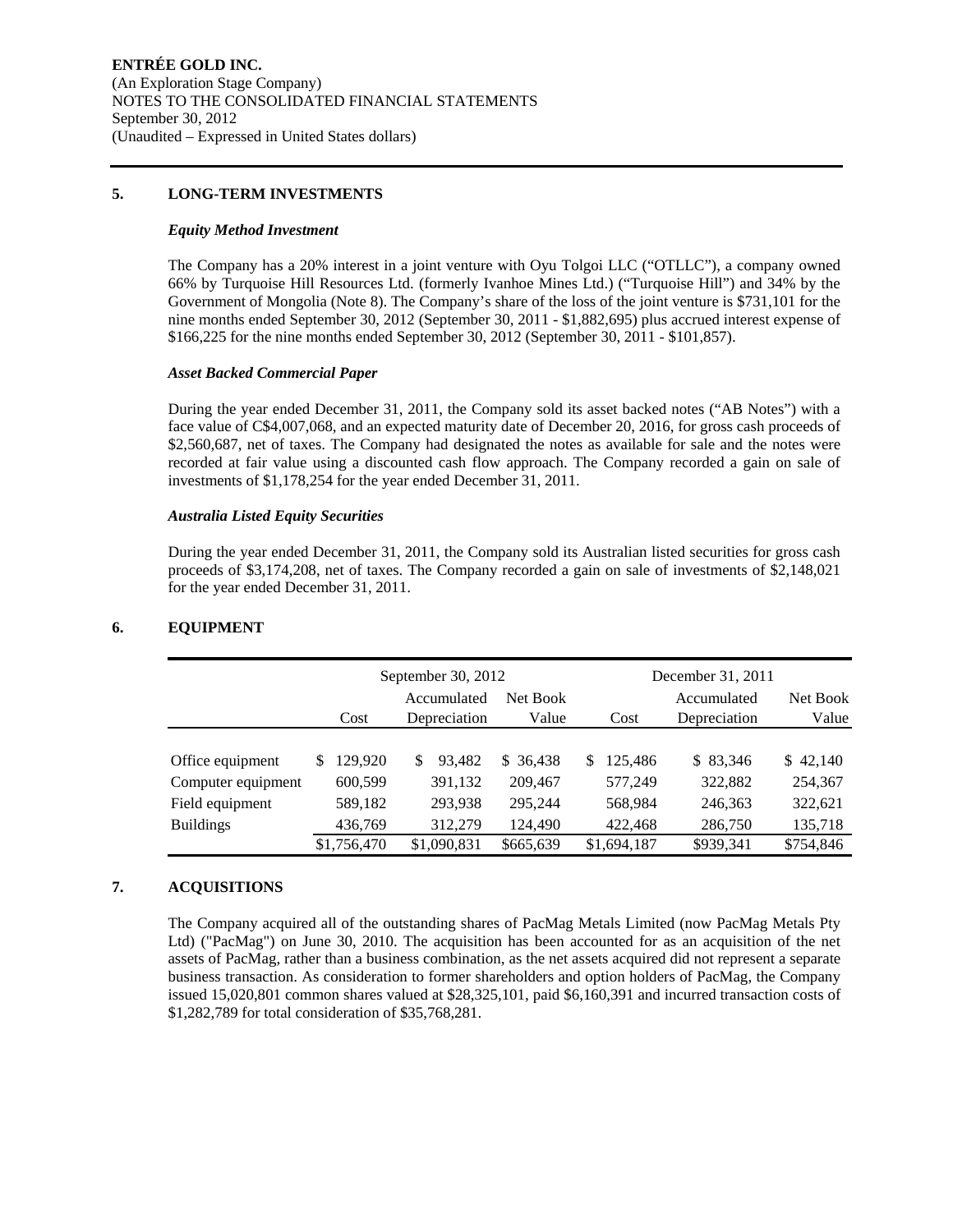#### **5. LONG-TERM INVESTMENTS**

#### *Equity Method Investment*

The Company has a 20% interest in a joint venture with Oyu Tolgoi LLC ("OTLLC"), a company owned 66% by Turquoise Hill Resources Ltd. (formerly Ivanhoe Mines Ltd.) ("Turquoise Hill") and 34% by the Government of Mongolia (Note 8). The Company's share of the loss of the joint venture is \$731,101 for the nine months ended September 30, 2012 (September 30, 2011 - \$1,882,695) plus accrued interest expense of \$166,225 for the nine months ended September 30, 2012 (September 30, 2011 - \$101,857).

#### *Asset Backed Commercial Paper*

During the year ended December 31, 2011, the Company sold its asset backed notes ("AB Notes") with a face value of C\$4,007,068, and an expected maturity date of December 20, 2016, for gross cash proceeds of \$2,560,687, net of taxes. The Company had designated the notes as available for sale and the notes were recorded at fair value using a discounted cash flow approach. The Company recorded a gain on sale of investments of \$1,178,254 for the year ended December 31, 2011.

#### *Australia Listed Equity Securities*

During the year ended December 31, 2011, the Company sold its Australian listed securities for gross cash proceeds of \$3,174,208, net of taxes. The Company recorded a gain on sale of investments of \$2,148,021 for the year ended December 31, 2011.

|                    |                | September 30, 2012          |                   |                | December 31, 2011           |                   |
|--------------------|----------------|-----------------------------|-------------------|----------------|-----------------------------|-------------------|
|                    | Cost           | Accumulated<br>Depreciation | Net Book<br>Value | Cost           | Accumulated<br>Depreciation | Net Book<br>Value |
|                    |                |                             |                   |                |                             |                   |
| Office equipment   | 129,920<br>\$. | 93.482<br>S                 | \$ 36,438         | 125,486<br>\$. | \$ 83,346                   | \$42,140          |
| Computer equipment | 600,599        | 391,132                     | 209,467           | 577,249        | 322,882                     | 254,367           |
| Field equipment    | 589,182        | 293,938                     | 295,244           | 568,984        | 246,363                     | 322,621           |
| <b>Buildings</b>   | 436,769        | 312,279                     | 124,490           | 422,468        | 286,750                     | 135,718           |
|                    | \$1,756,470    | \$1,090,831                 | \$665,639         | \$1,694,187    | \$939,341                   | \$754,846         |

#### **6. EQUIPMENT**

#### **7. ACQUISITIONS**

The Company acquired all of the outstanding shares of PacMag Metals Limited (now PacMag Metals Pty Ltd) ("PacMag") on June 30, 2010. The acquisition has been accounted for as an acquisition of the net assets of PacMag, rather than a business combination, as the net assets acquired did not represent a separate business transaction. As consideration to former shareholders and option holders of PacMag, the Company issued 15,020,801 common shares valued at \$28,325,101, paid \$6,160,391 and incurred transaction costs of \$1,282,789 for total consideration of \$35,768,281.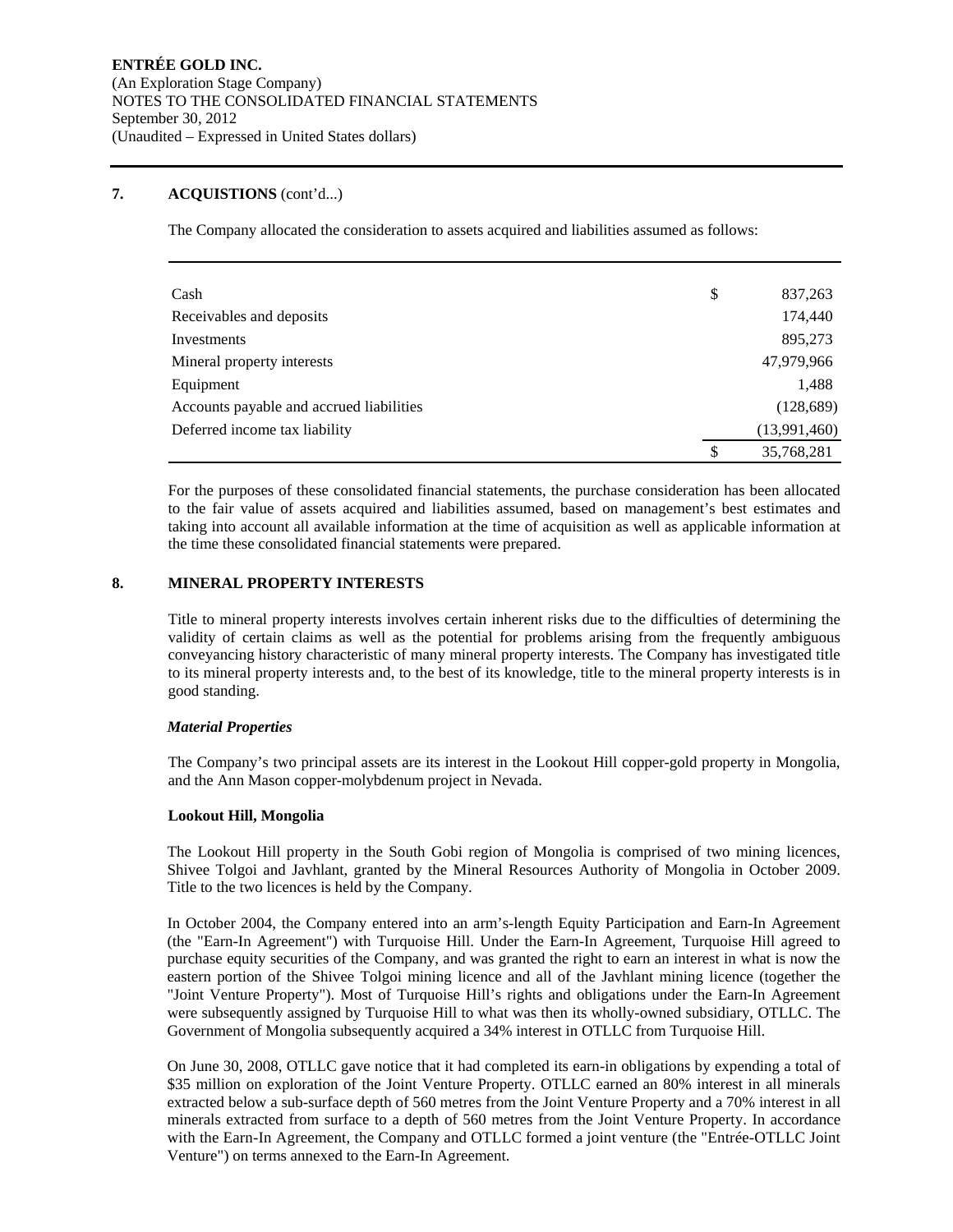#### **7. ACQUISTIONS** (cont'd...)

The Company allocated the consideration to assets acquired and liabilities assumed as follows:

| Cash                                     | \$<br>837,263    |
|------------------------------------------|------------------|
| Receivables and deposits                 | 174,440          |
| Investments                              | 895,273          |
| Mineral property interests               | 47,979,966       |
| Equipment                                | 1,488            |
| Accounts payable and accrued liabilities | (128, 689)       |
| Deferred income tax liability            | (13,991,460)     |
|                                          | \$<br>35,768,281 |

For the purposes of these consolidated financial statements, the purchase consideration has been allocated to the fair value of assets acquired and liabilities assumed, based on management's best estimates and taking into account all available information at the time of acquisition as well as applicable information at the time these consolidated financial statements were prepared.

#### **8. MINERAL PROPERTY INTERESTS**

Title to mineral property interests involves certain inherent risks due to the difficulties of determining the validity of certain claims as well as the potential for problems arising from the frequently ambiguous conveyancing history characteristic of many mineral property interests. The Company has investigated title to its mineral property interests and, to the best of its knowledge, title to the mineral property interests is in good standing.

#### *Material Properties*

The Company's two principal assets are its interest in the Lookout Hill copper-gold property in Mongolia, and the Ann Mason copper-molybdenum project in Nevada.

#### **Lookout Hill, Mongolia**

The Lookout Hill property in the South Gobi region of Mongolia is comprised of two mining licences, Shivee Tolgoi and Javhlant, granted by the Mineral Resources Authority of Mongolia in October 2009. Title to the two licences is held by the Company.

In October 2004, the Company entered into an arm's-length Equity Participation and Earn-In Agreement (the "Earn-In Agreement") with Turquoise Hill. Under the Earn-In Agreement, Turquoise Hill agreed to purchase equity securities of the Company, and was granted the right to earn an interest in what is now the eastern portion of the Shivee Tolgoi mining licence and all of the Javhlant mining licence (together the "Joint Venture Property"). Most of Turquoise Hill's rights and obligations under the Earn-In Agreement were subsequently assigned by Turquoise Hill to what was then its wholly-owned subsidiary, OTLLC. The Government of Mongolia subsequently acquired a 34% interest in OTLLC from Turquoise Hill.

On June 30, 2008, OTLLC gave notice that it had completed its earn-in obligations by expending a total of \$35 million on exploration of the Joint Venture Property. OTLLC earned an 80% interest in all minerals extracted below a sub-surface depth of 560 metres from the Joint Venture Property and a 70% interest in all minerals extracted from surface to a depth of 560 metres from the Joint Venture Property. In accordance with the Earn-In Agreement, the Company and OTLLC formed a joint venture (the "Entrée-OTLLC Joint Venture") on terms annexed to the Earn-In Agreement.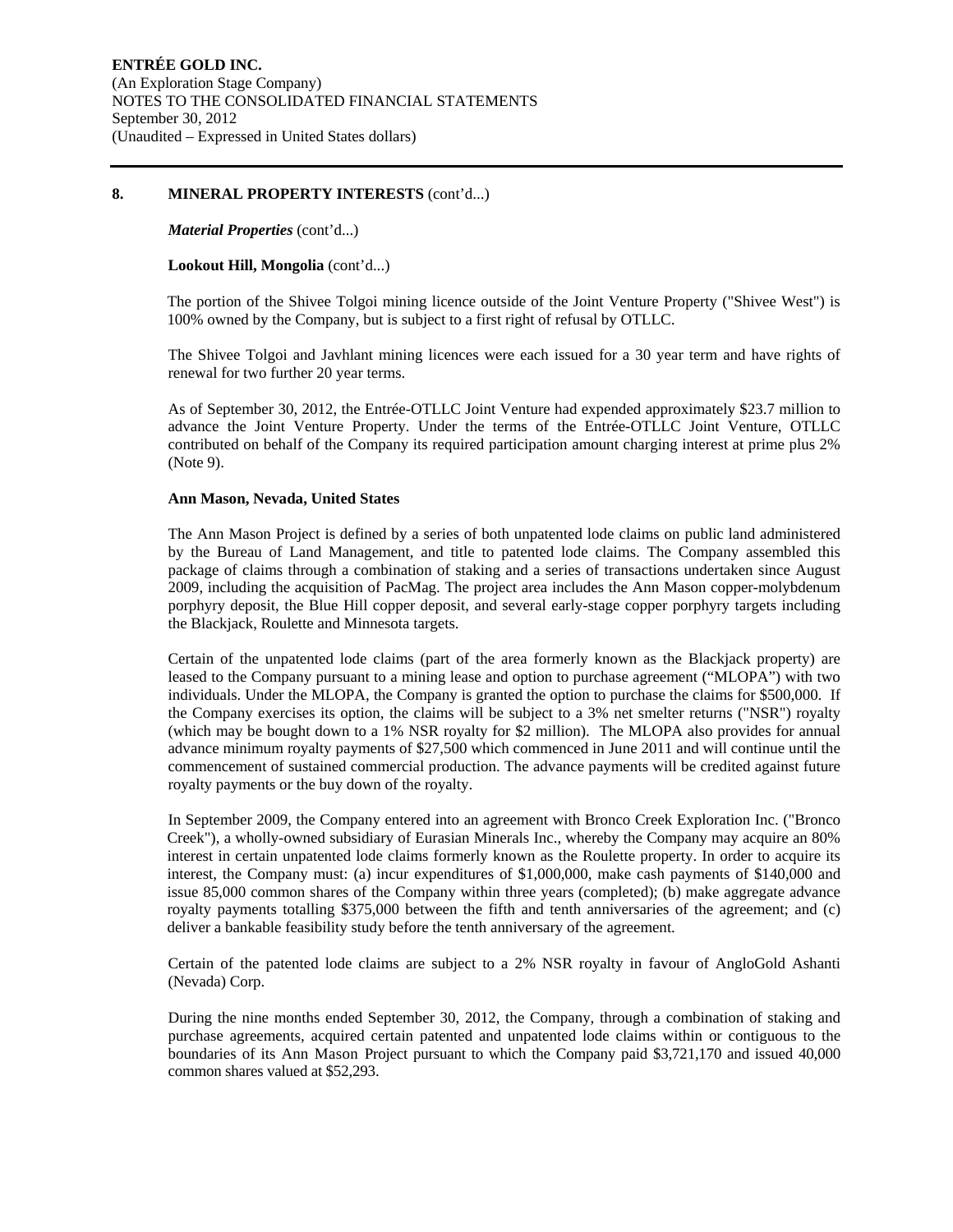#### **8. MINERAL PROPERTY INTERESTS** (cont'd...)

#### *Material Properties* (cont'd...)

#### **Lookout Hill, Mongolia** (cont'd...)

The portion of the Shivee Tolgoi mining licence outside of the Joint Venture Property ("Shivee West") is 100% owned by the Company, but is subject to a first right of refusal by OTLLC.

The Shivee Tolgoi and Javhlant mining licences were each issued for a 30 year term and have rights of renewal for two further 20 year terms.

As of September 30, 2012, the Entrée-OTLLC Joint Venture had expended approximately \$23.7 million to advance the Joint Venture Property. Under the terms of the Entrée-OTLLC Joint Venture, OTLLC contributed on behalf of the Company its required participation amount charging interest at prime plus 2% (Note 9).

#### **Ann Mason, Nevada, United States**

The Ann Mason Project is defined by a series of both unpatented lode claims on public land administered by the Bureau of Land Management, and title to patented lode claims. The Company assembled this package of claims through a combination of staking and a series of transactions undertaken since August 2009, including the acquisition of PacMag. The project area includes the Ann Mason copper-molybdenum porphyry deposit, the Blue Hill copper deposit, and several early-stage copper porphyry targets including the Blackjack, Roulette and Minnesota targets.

Certain of the unpatented lode claims (part of the area formerly known as the Blackjack property) are leased to the Company pursuant to a mining lease and option to purchase agreement ("MLOPA") with two individuals. Under the MLOPA, the Company is granted the option to purchase the claims for \$500,000. If the Company exercises its option, the claims will be subject to a 3% net smelter returns ("NSR") royalty (which may be bought down to a 1% NSR royalty for \$2 million). The MLOPA also provides for annual advance minimum royalty payments of \$27,500 which commenced in June 2011 and will continue until the commencement of sustained commercial production. The advance payments will be credited against future royalty payments or the buy down of the royalty.

In September 2009, the Company entered into an agreement with Bronco Creek Exploration Inc. ("Bronco Creek"), a wholly-owned subsidiary of Eurasian Minerals Inc., whereby the Company may acquire an 80% interest in certain unpatented lode claims formerly known as the Roulette property. In order to acquire its interest, the Company must: (a) incur expenditures of \$1,000,000, make cash payments of \$140,000 and issue 85,000 common shares of the Company within three years (completed); (b) make aggregate advance royalty payments totalling \$375,000 between the fifth and tenth anniversaries of the agreement; and (c) deliver a bankable feasibility study before the tenth anniversary of the agreement.

Certain of the patented lode claims are subject to a 2% NSR royalty in favour of AngloGold Ashanti (Nevada) Corp.

During the nine months ended September 30, 2012, the Company, through a combination of staking and purchase agreements, acquired certain patented and unpatented lode claims within or contiguous to the boundaries of its Ann Mason Project pursuant to which the Company paid \$3,721,170 and issued 40,000 common shares valued at \$52,293.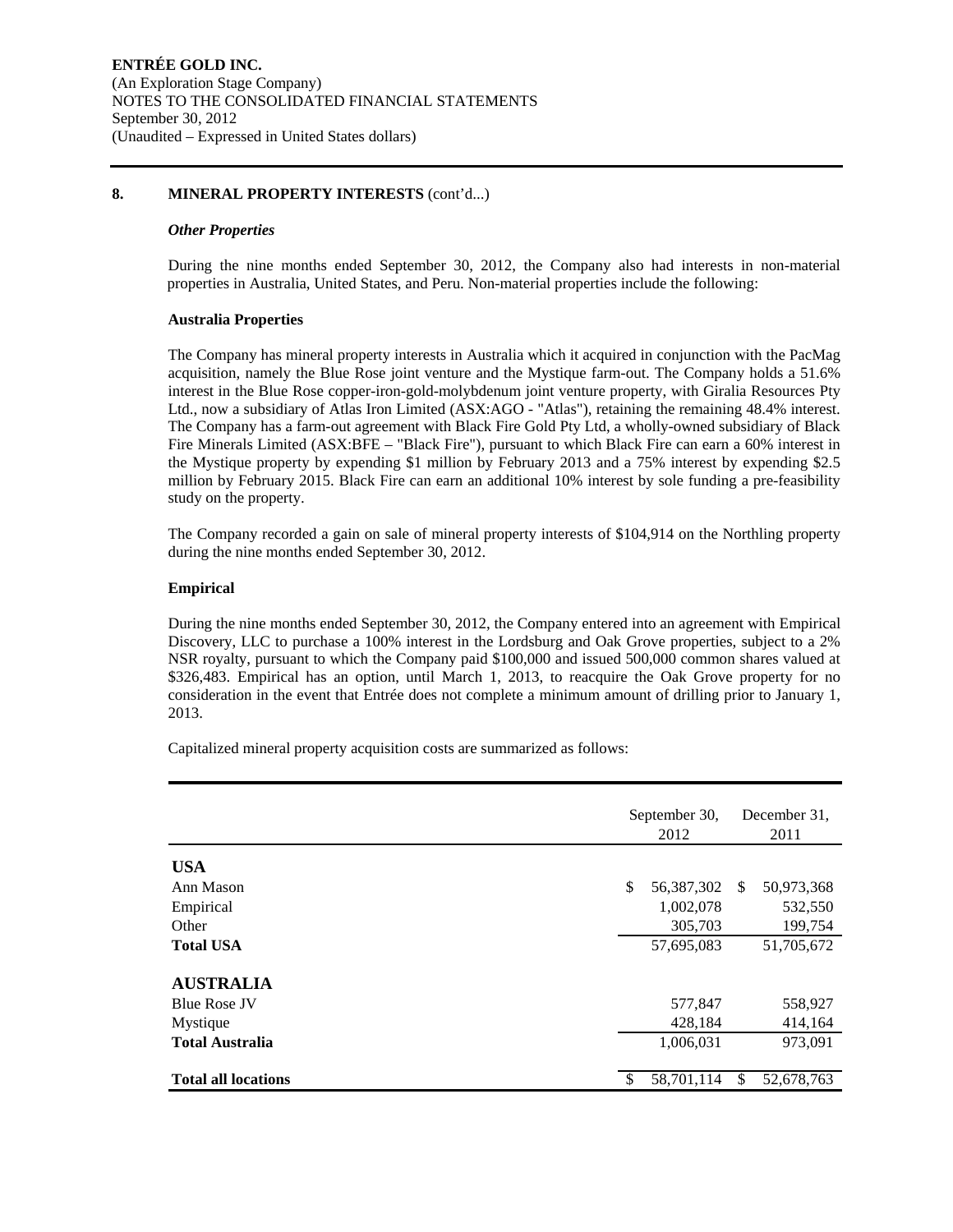#### **8. MINERAL PROPERTY INTERESTS** (cont'd...)

#### *Other Properties*

During the nine months ended September 30, 2012, the Company also had interests in non-material properties in Australia, United States, and Peru. Non-material properties include the following:

#### **Australia Properties**

The Company has mineral property interests in Australia which it acquired in conjunction with the PacMag acquisition, namely the Blue Rose joint venture and the Mystique farm-out. The Company holds a 51.6% interest in the Blue Rose copper-iron-gold-molybdenum joint venture property, with Giralia Resources Pty Ltd., now a subsidiary of Atlas Iron Limited (ASX:AGO - "Atlas"), retaining the remaining 48.4% interest. The Company has a farm-out agreement with Black Fire Gold Pty Ltd, a wholly-owned subsidiary of Black Fire Minerals Limited (ASX:BFE – "Black Fire"), pursuant to which Black Fire can earn a 60% interest in the Mystique property by expending \$1 million by February 2013 and a 75% interest by expending \$2.5 million by February 2015. Black Fire can earn an additional 10% interest by sole funding a pre-feasibility study on the property.

The Company recorded a gain on sale of mineral property interests of \$104,914 on the Northling property during the nine months ended September 30, 2012.

#### **Empirical**

During the nine months ended September 30, 2012, the Company entered into an agreement with Empirical Discovery, LLC to purchase a 100% interest in the Lordsburg and Oak Grove properties, subject to a 2% NSR royalty, pursuant to which the Company paid \$100,000 and issued 500,000 common shares valued at \$326,483. Empirical has an option, until March 1, 2013, to reacquire the Oak Grove property for no consideration in the event that Entrée does not complete a minimum amount of drilling prior to January 1, 2013.

Capitalized mineral property acquisition costs are summarized as follows:

|                            | September 30,<br>2012 |               | December 31.<br>2011 |
|----------------------------|-----------------------|---------------|----------------------|
| <b>USA</b>                 |                       |               |                      |
| Ann Mason                  | \$<br>56,387,302      | <sup>\$</sup> | 50,973,368           |
| Empirical                  | 1,002,078             |               | 532,550              |
| Other                      | 305,703               |               | 199,754              |
| <b>Total USA</b>           | 57,695,083            |               | 51,705,672           |
| <b>AUSTRALIA</b>           |                       |               |                      |
| <b>Blue Rose JV</b>        | 577,847               |               | 558,927              |
| Mystique                   | 428,184               |               | 414,164              |
| <b>Total Australia</b>     | 1,006,031             |               | 973,091              |
| <b>Total all locations</b> | 58,701,114            |               | 52,678,763           |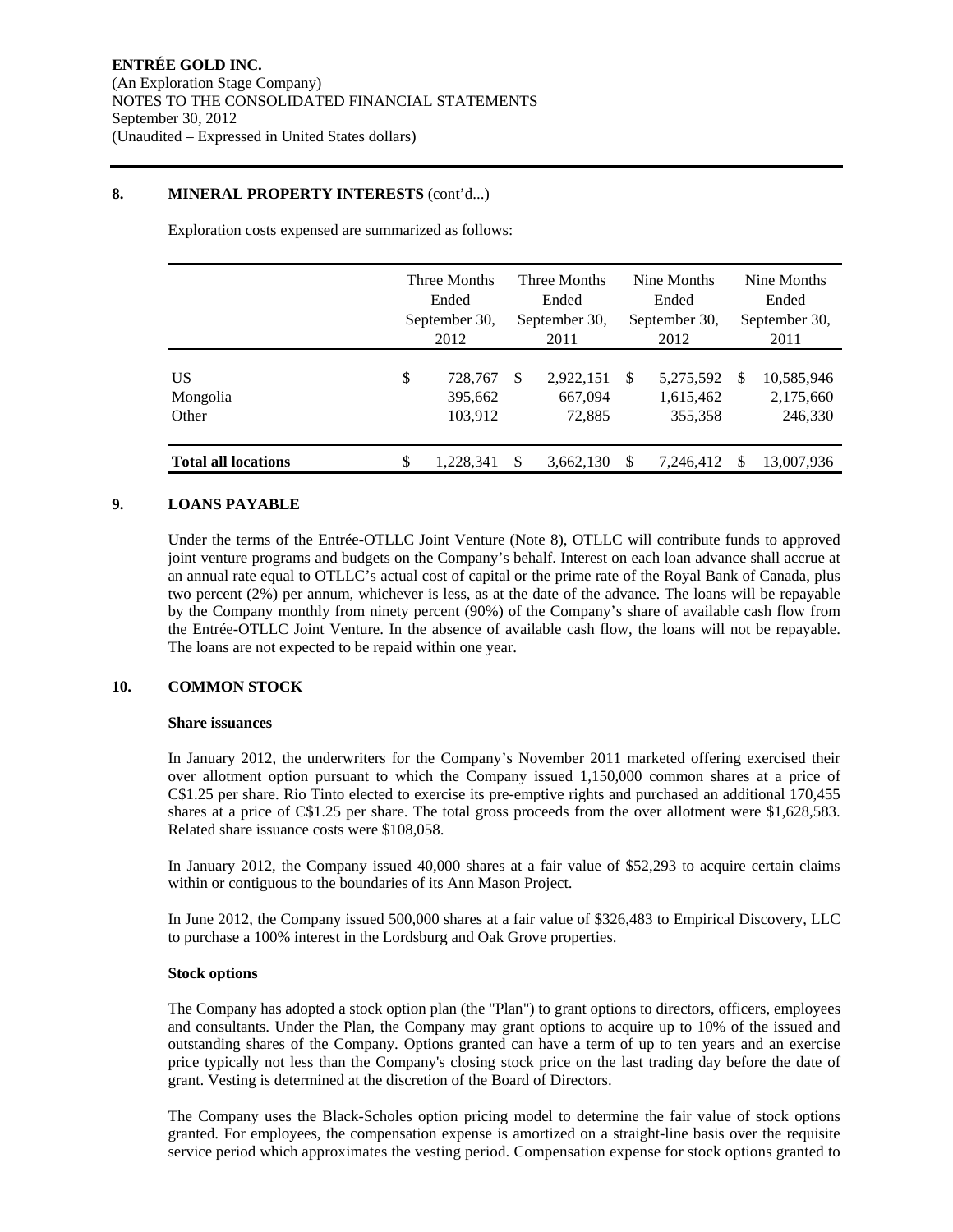#### **8. MINERAL PROPERTY INTERESTS** (cont'd...)

Exploration costs expensed are summarized as follows:

|                            | Three Months<br>Ended<br>September 30,<br>2012 |                               |          | Three Months<br>Ended<br>September 30,<br>2011 |   | Nine Months<br>Ended<br>September 30,<br>2012 | Nine Months<br>Ended<br>September 30,<br>2011 |                                    |  |
|----------------------------|------------------------------------------------|-------------------------------|----------|------------------------------------------------|---|-----------------------------------------------|-----------------------------------------------|------------------------------------|--|
| US<br>Mongolia<br>Other    | \$                                             | 728,767<br>395,662<br>103,912 | <b>S</b> | 2,922,151<br>667,094<br>72,885                 | S | 5,275,592<br>1,615,462<br>355,358             | S                                             | 10,585,946<br>2,175,660<br>246,330 |  |
| <b>Total all locations</b> | \$                                             | 1.228.341                     | \$.      | 3,662,130                                      | S | 7.246.412                                     | S                                             | 13,007,936                         |  |

#### **9. LOANS PAYABLE**

Under the terms of the Entrée-OTLLC Joint Venture (Note 8), OTLLC will contribute funds to approved joint venture programs and budgets on the Company's behalf. Interest on each loan advance shall accrue at an annual rate equal to OTLLC's actual cost of capital or the prime rate of the Royal Bank of Canada, plus two percent (2%) per annum, whichever is less, as at the date of the advance. The loans will be repayable by the Company monthly from ninety percent (90%) of the Company's share of available cash flow from the Entrée-OTLLC Joint Venture. In the absence of available cash flow, the loans will not be repayable. The loans are not expected to be repaid within one year.

#### **10. COMMON STOCK**

#### **Share issuances**

In January 2012, the underwriters for the Company's November 2011 marketed offering exercised their over allotment option pursuant to which the Company issued 1,150,000 common shares at a price of C\$1.25 per share. Rio Tinto elected to exercise its pre-emptive rights and purchased an additional 170,455 shares at a price of C\$1.25 per share. The total gross proceeds from the over allotment were \$1,628,583. Related share issuance costs were \$108,058.

In January 2012, the Company issued 40,000 shares at a fair value of \$52,293 to acquire certain claims within or contiguous to the boundaries of its Ann Mason Project.

In June 2012, the Company issued 500,000 shares at a fair value of \$326,483 to Empirical Discovery, LLC to purchase a 100% interest in the Lordsburg and Oak Grove properties.

#### **Stock options**

The Company has adopted a stock option plan (the "Plan") to grant options to directors, officers, employees and consultants. Under the Plan, the Company may grant options to acquire up to 10% of the issued and outstanding shares of the Company. Options granted can have a term of up to ten years and an exercise price typically not less than the Company's closing stock price on the last trading day before the date of grant. Vesting is determined at the discretion of the Board of Directors.

The Company uses the Black-Scholes option pricing model to determine the fair value of stock options granted. For employees, the compensation expense is amortized on a straight-line basis over the requisite service period which approximates the vesting period. Compensation expense for stock options granted to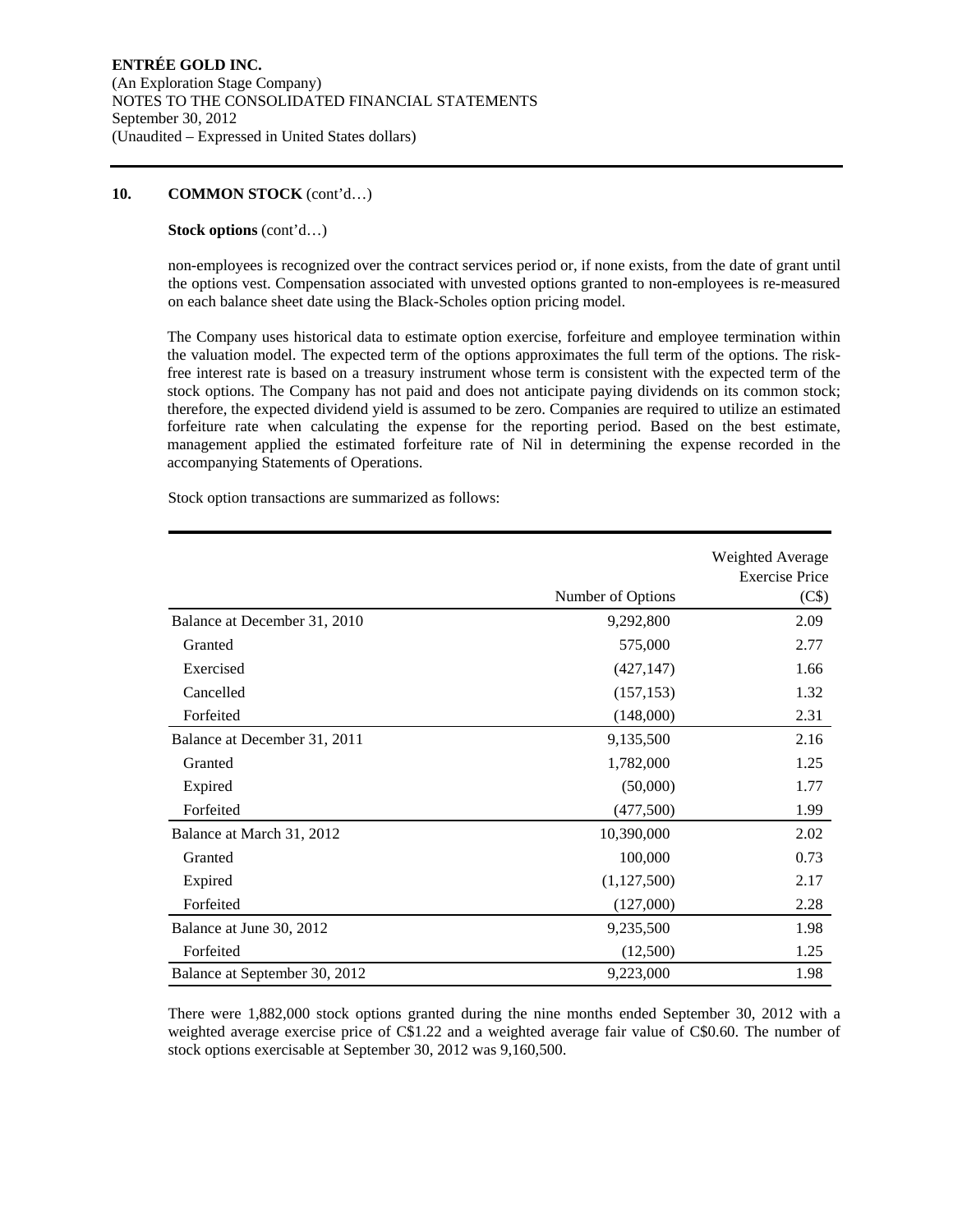#### **10. COMMON STOCK** (cont'd…)

#### **Stock options** (cont'd…)

non-employees is recognized over the contract services period or, if none exists, from the date of grant until the options vest. Compensation associated with unvested options granted to non-employees is re-measured on each balance sheet date using the Black-Scholes option pricing model.

The Company uses historical data to estimate option exercise, forfeiture and employee termination within the valuation model. The expected term of the options approximates the full term of the options. The riskfree interest rate is based on a treasury instrument whose term is consistent with the expected term of the stock options. The Company has not paid and does not anticipate paying dividends on its common stock; therefore, the expected dividend yield is assumed to be zero. Companies are required to utilize an estimated forfeiture rate when calculating the expense for the reporting period. Based on the best estimate, management applied the estimated forfeiture rate of Nil in determining the expense recorded in the accompanying Statements of Operations.

Stock option transactions are summarized as follows:

|                               |                   | Weighted Average<br><b>Exercise Price</b> |
|-------------------------------|-------------------|-------------------------------------------|
|                               | Number of Options | (C\$)                                     |
| Balance at December 31, 2010  | 9,292,800         | 2.09                                      |
| Granted                       | 575,000           | 2.77                                      |
| Exercised                     | (427, 147)        | 1.66                                      |
| Cancelled                     | (157, 153)        | 1.32                                      |
| Forfeited                     | (148,000)         | 2.31                                      |
| Balance at December 31, 2011  | 9,135,500         | 2.16                                      |
| Granted                       | 1,782,000         | 1.25                                      |
| Expired                       | (50,000)          | 1.77                                      |
| Forfeited                     | (477,500)         | 1.99                                      |
| Balance at March 31, 2012     | 10,390,000        | 2.02                                      |
| Granted                       | 100,000           | 0.73                                      |
| Expired                       | (1,127,500)       | 2.17                                      |
| Forfeited                     | (127,000)         | 2.28                                      |
| Balance at June 30, 2012      | 9,235,500         | 1.98                                      |
| Forfeited                     | (12,500)          | 1.25                                      |
| Balance at September 30, 2012 | 9,223,000         | 1.98                                      |

There were 1,882,000 stock options granted during the nine months ended September 30, 2012 with a weighted average exercise price of C\$1.22 and a weighted average fair value of C\$0.60. The number of stock options exercisable at September 30, 2012 was 9,160,500.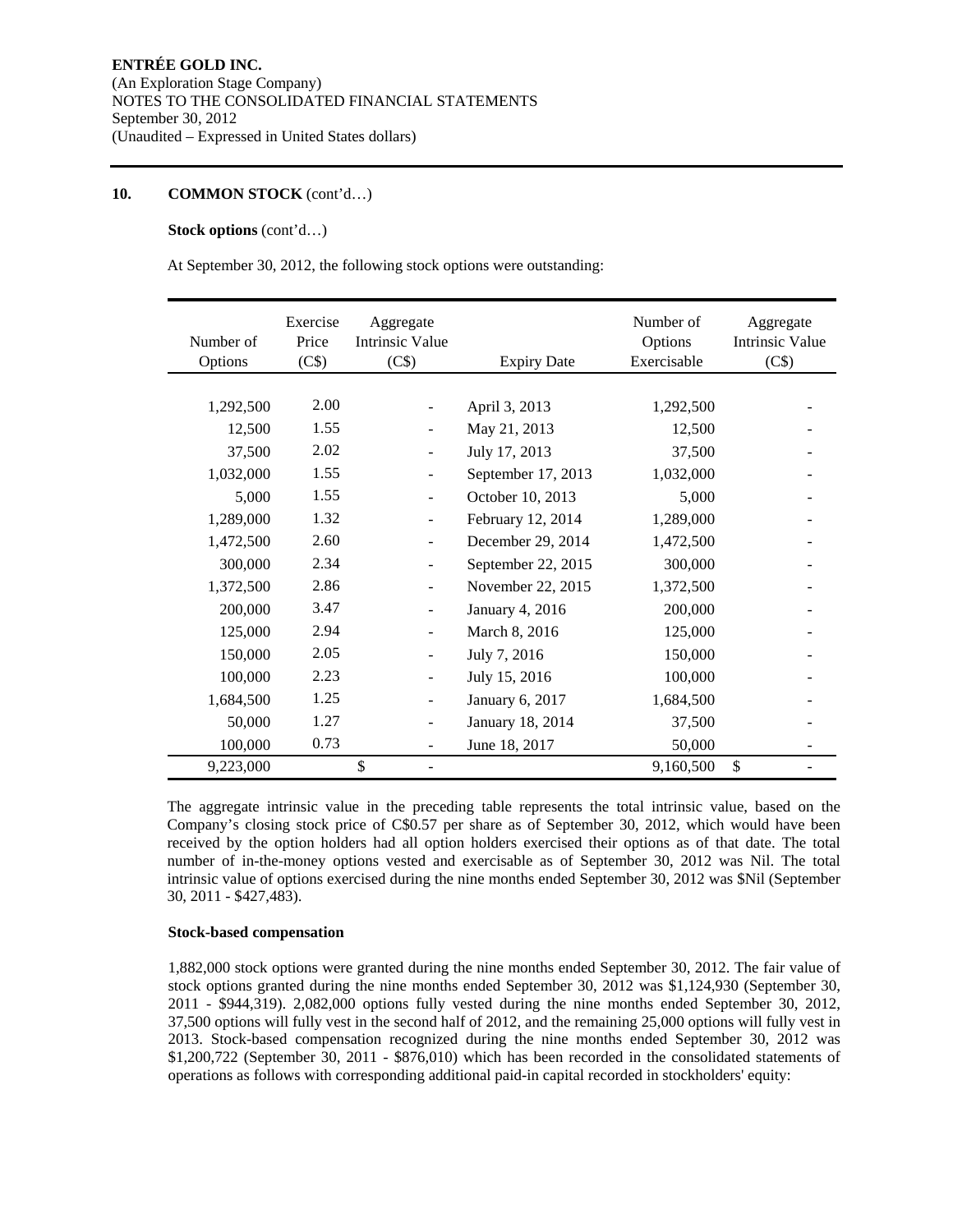#### **10. COMMON STOCK** (cont'd…)

#### **Stock options** (cont'd…)

At September 30, 2012, the following stock options were outstanding:

| Number of<br>Options | Exercise<br>Price<br>(C\$) | Aggregate<br>Intrinsic Value<br>(C\$) | <b>Expiry Date</b> | Number of<br>Options<br>Exercisable | Aggregate<br>Intrinsic Value<br>(C\$) |
|----------------------|----------------------------|---------------------------------------|--------------------|-------------------------------------|---------------------------------------|
|                      |                            |                                       |                    |                                     |                                       |
| 1,292,500            | 2.00                       |                                       | April 3, 2013      | 1,292,500                           |                                       |
| 12,500               | 1.55                       | $\overline{\phantom{a}}$              | May 21, 2013       | 12,500                              |                                       |
| 37,500               | 2.02                       |                                       | July 17, 2013      | 37,500                              |                                       |
| 1,032,000            | 1.55                       | $\overline{\phantom{a}}$              | September 17, 2013 | 1,032,000                           |                                       |
| 5,000                | 1.55                       |                                       | October 10, 2013   | 5,000                               |                                       |
| 1,289,000            | 1.32                       | $\overline{\phantom{a}}$              | February 12, 2014  | 1,289,000                           |                                       |
| 1,472,500            | 2.60                       |                                       | December 29, 2014  | 1,472,500                           |                                       |
| 300,000              | 2.34                       | $\overline{\phantom{a}}$              | September 22, 2015 | 300,000                             |                                       |
| 1,372,500            | 2.86                       |                                       | November 22, 2015  | 1,372,500                           |                                       |
| 200,000              | 3.47                       | $\overline{\phantom{m}}$              | January 4, 2016    | 200,000                             |                                       |
| 125,000              | 2.94                       | $\blacksquare$                        | March 8, 2016      | 125,000                             |                                       |
| 150,000              | 2.05                       | $\overline{a}$                        | July 7, 2016       | 150,000                             |                                       |
| 100,000              | 2.23                       | $\overline{\phantom{a}}$              | July 15, 2016      | 100,000                             |                                       |
| 1,684,500            | 1.25                       | ÷                                     | January 6, 2017    | 1,684,500                           |                                       |
| 50,000               | 1.27                       | $\blacksquare$                        | January 18, 2014   | 37,500                              |                                       |
| 100,000              | 0.73                       |                                       | June 18, 2017      | 50,000                              |                                       |
| 9,223,000            |                            | \$                                    |                    | 9,160,500                           | \$                                    |

The aggregate intrinsic value in the preceding table represents the total intrinsic value, based on the Company's closing stock price of C\$0.57 per share as of September 30, 2012, which would have been received by the option holders had all option holders exercised their options as of that date. The total number of in-the-money options vested and exercisable as of September 30, 2012 was Nil. The total intrinsic value of options exercised during the nine months ended September 30, 2012 was \$Nil (September 30, 2011 - \$427,483).

#### **Stock-based compensation**

1,882,000 stock options were granted during the nine months ended September 30, 2012. The fair value of stock options granted during the nine months ended September 30, 2012 was \$1,124,930 (September 30, 2011 - \$944,319). 2,082,000 options fully vested during the nine months ended September 30, 2012, 37,500 options will fully vest in the second half of 2012, and the remaining 25,000 options will fully vest in 2013. Stock-based compensation recognized during the nine months ended September 30, 2012 was \$1,200,722 (September 30, 2011 - \$876,010) which has been recorded in the consolidated statements of operations as follows with corresponding additional paid-in capital recorded in stockholders' equity: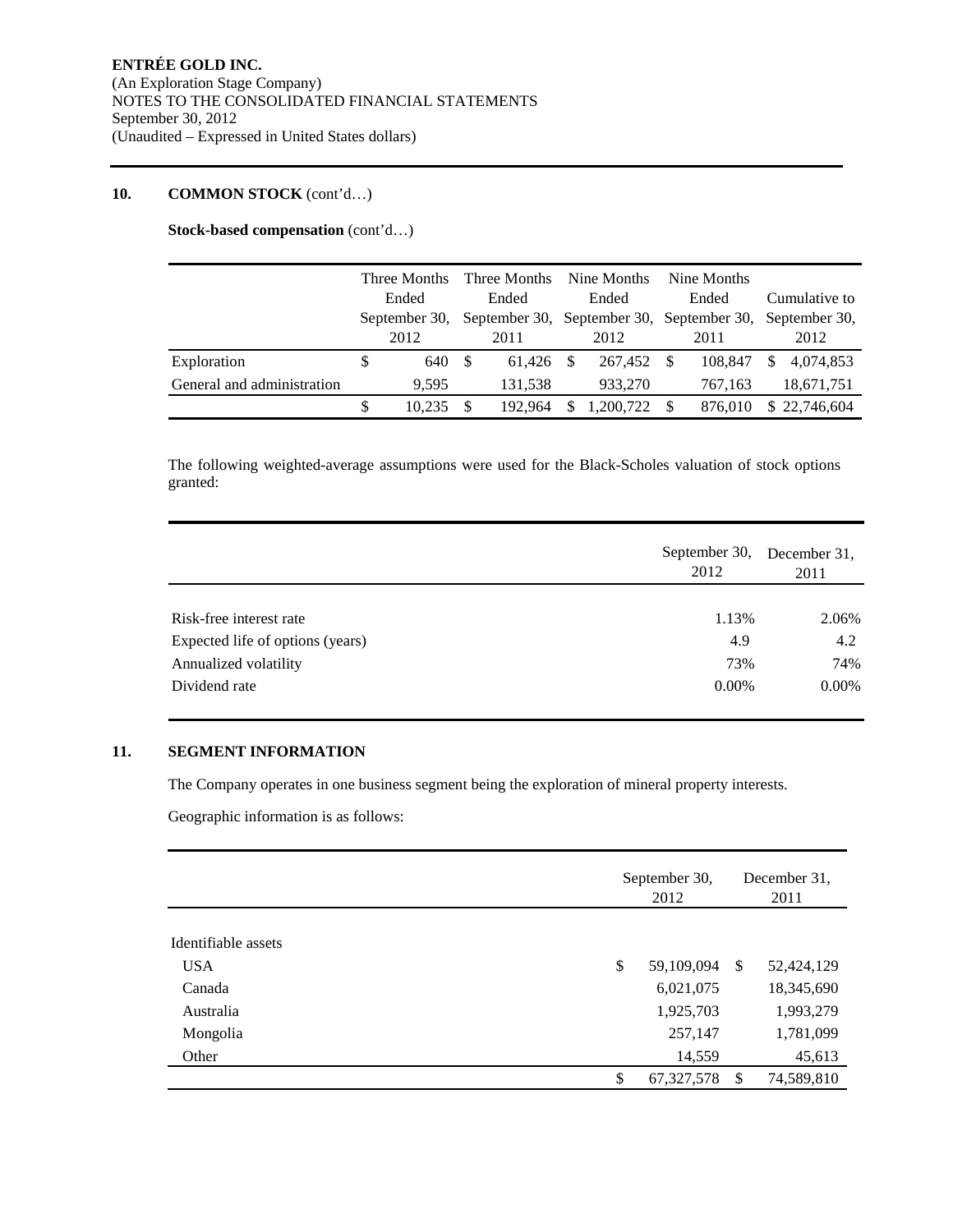#### **10. COMMON STOCK** (cont'd…)

**Stock-based compensation** (cont'd…)

|                            | Three Months<br>Ended |               |       | Three Months Nine Months                                |       |           |  | Nine Months |               |              |  |
|----------------------------|-----------------------|---------------|-------|---------------------------------------------------------|-------|-----------|--|-------------|---------------|--------------|--|
|                            |                       |               | Ended |                                                         | Ended |           |  | Ended       | Cumulative to |              |  |
|                            |                       | September 30, |       | September 30, September 30, September 30, September 30, |       |           |  |             |               |              |  |
|                            |                       | 2012          |       | 2011                                                    |       | 2012      |  | 2011        |               | 2012         |  |
| Exploration                | S                     | 640           | -\$   | 61.426                                                  | \$.   | 267.452   |  | 108.847     | \$.           | 4,074,853    |  |
| General and administration |                       | 9.595         |       | 131.538                                                 |       | 933.270   |  | 767,163     |               | 18,671,751   |  |
|                            | S                     | 10.235        |       | 192,964                                                 | \$    | 1,200,722 |  | 876.010     |               | \$22,746,604 |  |

The following weighted-average assumptions were used for the Black-Scholes valuation of stock options granted:

|                                  | September 30,<br>2012 | December 31.<br>2011 |  |  |
|----------------------------------|-----------------------|----------------------|--|--|
|                                  |                       |                      |  |  |
| Risk-free interest rate          | 1.13%                 | 2.06%                |  |  |
| Expected life of options (years) | 4.9                   | 4.2                  |  |  |
| Annualized volatility            | 73%                   | 74%                  |  |  |
| Dividend rate                    | $0.00\%$              | $0.00\%$             |  |  |

#### **11. SEGMENT INFORMATION**

The Company operates in one business segment being the exploration of mineral property interests.

Geographic information is as follows:

|                     | September 30,<br>2012 | December 31.<br>2011 |            |  |
|---------------------|-----------------------|----------------------|------------|--|
|                     |                       |                      |            |  |
| Identifiable assets |                       |                      |            |  |
| <b>USA</b>          | \$<br>59,109,094      | <sup>\$</sup>        | 52,424,129 |  |
| Canada              | 6,021,075             |                      | 18,345,690 |  |
| Australia           | 1,925,703             |                      | 1,993,279  |  |
| Mongolia            | 257,147               |                      | 1,781,099  |  |
| Other               | 14,559                |                      | 45,613     |  |
|                     | \$<br>67, 327, 578    | -S                   | 74,589,810 |  |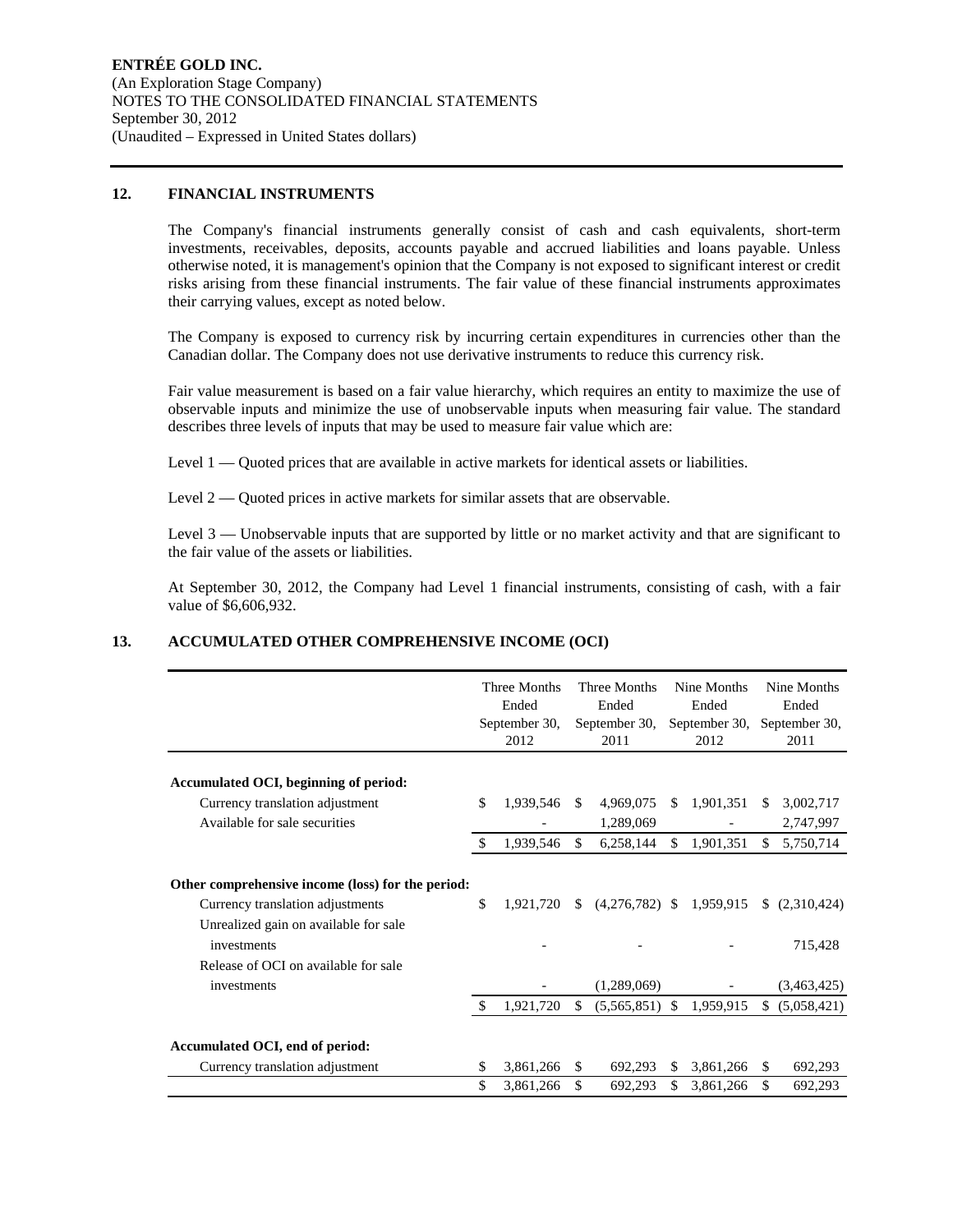#### **12. FINANCIAL INSTRUMENTS**

The Company's financial instruments generally consist of cash and cash equivalents, short-term investments, receivables, deposits, accounts payable and accrued liabilities and loans payable. Unless otherwise noted, it is management's opinion that the Company is not exposed to significant interest or credit risks arising from these financial instruments. The fair value of these financial instruments approximates their carrying values, except as noted below.

The Company is exposed to currency risk by incurring certain expenditures in currencies other than the Canadian dollar. The Company does not use derivative instruments to reduce this currency risk.

Fair value measurement is based on a fair value hierarchy, which requires an entity to maximize the use of observable inputs and minimize the use of unobservable inputs when measuring fair value. The standard describes three levels of inputs that may be used to measure fair value which are:

Level 1 — Quoted prices that are available in active markets for identical assets or liabilities.

Level 2 — Quoted prices in active markets for similar assets that are observable.

Level 3 — Unobservable inputs that are supported by little or no market activity and that are significant to the fair value of the assets or liabilities.

At September 30, 2012, the Company had Level 1 financial instruments, consisting of cash, with a fair value of \$6,606,932.

#### **13. ACCUMULATED OTHER COMPREHENSIVE INCOME (OCI)**

|                                                                                       |     | Three Months<br>Ended<br>September 30,<br>2012 |               | Three Months<br>Ended<br>September 30,<br>2011 |     | Nine Months<br>Ended<br>September 30,<br>2012 |    | Nine Months<br>Ended<br>September 30,<br>2011 |
|---------------------------------------------------------------------------------------|-----|------------------------------------------------|---------------|------------------------------------------------|-----|-----------------------------------------------|----|-----------------------------------------------|
| Accumulated OCI, beginning of period:                                                 |     |                                                |               |                                                |     |                                               |    |                                               |
| Currency translation adjustment                                                       | \$  | 1,939,546                                      | \$.           | 4,969,075                                      | \$. | 1,901,351                                     | S. | 3,002,717                                     |
| Available for sale securities                                                         |     |                                                |               | 1,289,069                                      |     |                                               |    | 2,747,997                                     |
|                                                                                       | \$  | 1,939,546                                      | S.            | 6,258,144                                      | \$. | 1,901,351                                     | \$ | 5,750,714                                     |
| Other comprehensive income (loss) for the period:<br>Currency translation adjustments | \$  | 1.921.720                                      | <sup>\$</sup> | $(4,276,782)$ \$                               |     | 1,959,915                                     |    | (2,310,424)                                   |
| Unrealized gain on available for sale<br>investments                                  |     |                                                |               |                                                |     |                                               |    | 715,428                                       |
| Release of OCI on available for sale<br>investments                                   |     |                                                |               | (1,289,069)                                    |     |                                               |    | (3,463,425)                                   |
|                                                                                       | \$. | 1,921,720                                      | \$            | $(5,565,851)$ \$                               |     | 1,959,915                                     |    | \$ (5,058,421)                                |
| Accumulated OCI, end of period:                                                       |     |                                                |               |                                                |     |                                               |    |                                               |
| Currency translation adjustment                                                       | \$  | 3,861,266                                      | <sup>\$</sup> | 692,293                                        | \$. | 3,861,266                                     | \$ | 692,293                                       |
|                                                                                       | \$  | 3,861,266                                      | \$            | 692,293                                        | \$  | 3,861,266                                     | \$ | 692,293                                       |